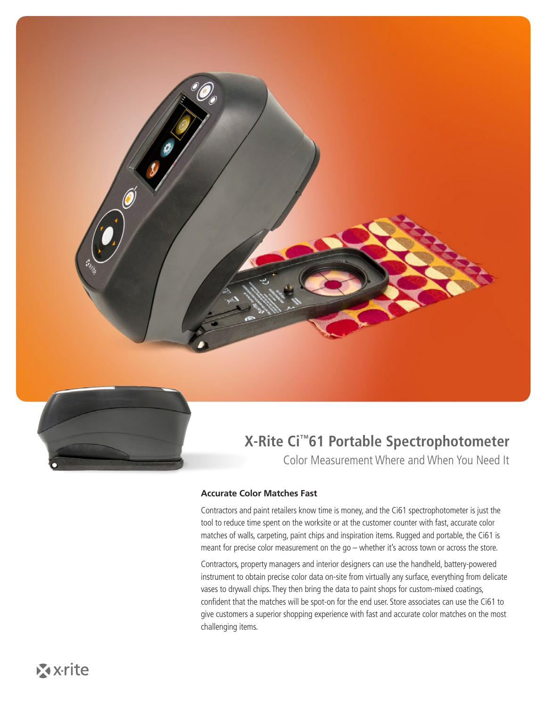



# **X-Rite Ci™61 Portable Spectrophotometer**

Color Measurement Where and When You Need It

#### **Accurate Color Matches Fast**

Contractors and paint retailers know time is money, and the Ci61 spectrophotometer is just the tool to reduce time spent on the worksite or at the customer counter with fast, accurate color matches of walls, carpeting, paint chips and inspiration items. Rugged and portable, the Ci61 is meant for precise color measurement on the go – whether it's across town or across the store.

Contractors, property managers and interior designers can use the handheld, battery-powered instrument to obtain precise color data on-site from virtually any surface, everything from delicate vases to drywall chips. They then bring the data to paint shops for custom-mixed coatings, confident that the matches will be spot-on for the end user. Store associates can use the Ci61 to give customers a superior shopping experience with fast and accurate color matches on the most challenging items.